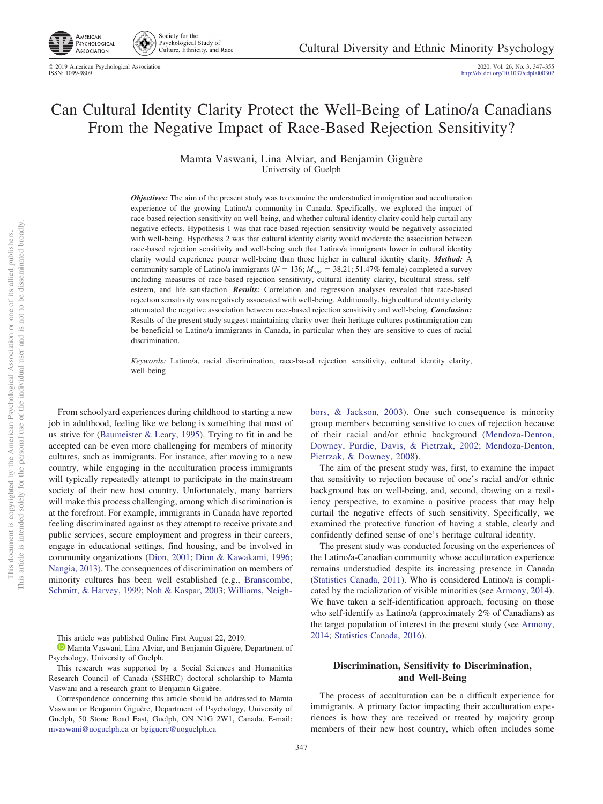

Society for the Psychological Study of 40 Culture, Ethnicity, and Race

# Can Cultural Identity Clarity Protect the Well-Being of Latino/a Canadians From the Negative Impact of Race-Based Rejection Sensitivity?

Mamta Vaswani, Lina Alviar, and Benjamin Giguère University of Guelph

*Objectives:* The aim of the present study was to examine the understudied immigration and acculturation experience of the growing Latino/a community in Canada. Specifically, we explored the impact of race-based rejection sensitivity on well-being, and whether cultural identity clarity could help curtail any negative effects. Hypothesis 1 was that race-based rejection sensitivity would be negatively associated with well-being. Hypothesis 2 was that cultural identity clarity would moderate the association between race-based rejection sensitivity and well-being such that Latino/a immigrants lower in cultural identity clarity would experience poorer well-being than those higher in cultural identity clarity. *Method:* A community sample of Latino/a immigrants ( $N = 136$ ;  $M_{age} = 38.21$ ; 51.47% female) completed a survey including measures of race-based rejection sensitivity, cultural identity clarity, bicultural stress, selfesteem, and life satisfaction. *Results:* Correlation and regression analyses revealed that race-based rejection sensitivity was negatively associated with well-being. Additionally, high cultural identity clarity attenuated the negative association between race-based rejection sensitivity and well-being. *Conclusion:* Results of the present study suggest maintaining clarity over their heritage cultures postimmigration can be beneficial to Latino/a immigrants in Canada, in particular when they are sensitive to cues of racial discrimination.

*Keywords:* Latino/a, racial discrimination, race-based rejection sensitivity, cultural identity clarity, well-being

From schoolyard experiences during childhood to starting a new job in adulthood, feeling like we belong is something that most of us strive for [\(Baumeister & Leary, 1995\)](#page-6-0). Trying to fit in and be accepted can be even more challenging for members of minority cultures, such as immigrants. For instance, after moving to a new country, while engaging in the acculturation process immigrants will typically repeatedly attempt to participate in the mainstream society of their new host country. Unfortunately, many barriers will make this process challenging, among which discrimination is at the forefront. For example, immigrants in Canada have reported feeling discriminated against as they attempt to receive private and public services, secure employment and progress in their careers, engage in educational settings, find housing, and be involved in community organizations [\(Dion, 2001;](#page-6-1) [Dion & Kawakami, 1996;](#page-6-2) [Nangia, 2013\)](#page-7-0). The consequences of discrimination on members of minority cultures has been well established (e.g., [Branscombe,](#page-6-3) [Schmitt, & Harvey, 1999;](#page-6-3) [Noh & Kaspar, 2003;](#page-7-1) [Williams,](#page-8-0) Neigh[bors, & Jackson, 2003\)](#page-8-0). One such consequence is minority group members becoming sensitive to cues of rejection because of their racial and/or ethnic background [\(Mendoza-Denton,](#page-7-2) [Downey, Purdie, Davis, & Pietrzak, 2002;](#page-7-2) [Mendoza-Denton,](#page-7-3) [Pietrzak, & Downey, 2008\)](#page-7-3).

The aim of the present study was, first, to examine the impact that sensitivity to rejection because of one's racial and/or ethnic background has on well-being, and, second, drawing on a resiliency perspective, to examine a positive process that may help curtail the negative effects of such sensitivity. Specifically, we examined the protective function of having a stable, clearly and confidently defined sense of one's heritage cultural identity.

The present study was conducted focusing on the experiences of the Latino/a-Canadian community whose acculturation experience remains understudied despite its increasing presence in Canada [\(Statistics Canada, 2011\)](#page-7-4). Who is considered Latino/a is complicated by the racialization of visible minorities (see [Armony, 2014\)](#page-6-4). We have taken a self-identification approach, focusing on those who self-identify as Latino/a (approximately 2% of Canadians) as the target population of interest in the present study (see [Armony,](#page-6-4) [2014;](#page-6-4) [Statistics Canada, 2016\)](#page-7-5).

# **Discrimination, Sensitivity to Discrimination, and Well-Being**

The process of acculturation can be a difficult experience for immigrants. A primary factor impacting their acculturation experiences is how they are received or treated by majority group members of their new host country, which often includes some

This article was published Online First August 22, 2019.

<sup>&</sup>lt;sup>1</sup> [Mamta Vaswani,](https://orcid.org/0000-0002-7656-4254) Lina Alviar, and Benjamin Giguère, Department of Psychology, University of Guelph.

This research was supported by a Social Sciences and Humanities Research Council of Canada (SSHRC) doctoral scholarship to Mamta Vaswani and a research grant to Benjamin Giguère.

Correspondence concerning this article should be addressed to Mamta Vaswani or Benjamin Giguère, Department of Psychology, University of Guelph, 50 Stone Road East, Guelph, ON N1G 2W1, Canada. E-mail: [mvaswani@uoguelph.ca](mailto:mvaswani@uoguelph.ca) or [bgiguere@uoguelph.ca](mailto:bgiguere@uoguelph.ca)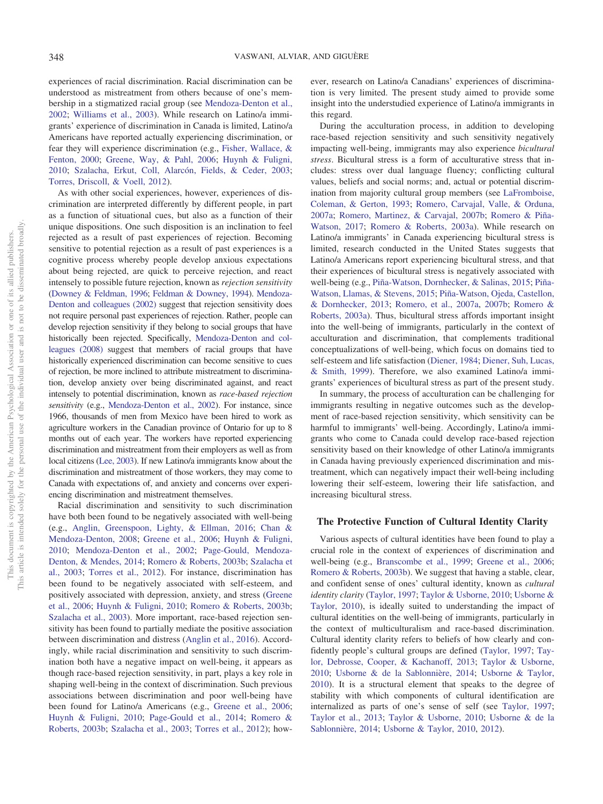experiences of racial discrimination. Racial discrimination can be understood as mistreatment from others because of one's membership in a stigmatized racial group (see [Mendoza-Denton et al.,](#page-7-2) [2002;](#page-7-2) [Williams et al., 2003\)](#page-8-0). While research on Latino/a immigrants' experience of discrimination in Canada is limited, Latino/a Americans have reported actually experiencing discrimination, or fear they will experience discrimination (e.g., [Fisher, Wallace, &](#page-7-6) [Fenton, 2000;](#page-7-6) [Greene, Way, & Pahl, 2006;](#page-7-7) [Huynh & Fuligni,](#page-7-8) [2010;](#page-7-8) [Szalacha, Erkut, Coll, Alarcón, Fields, & Ceder, 2003;](#page-7-9) [Torres, Driscoll, & Voell, 2012\)](#page-8-1).

As with other social experiences, however, experiences of discrimination are interpreted differently by different people, in part as a function of situational cues, but also as a function of their unique dispositions. One such disposition is an inclination to feel rejected as a result of past experiences of rejection. Becoming sensitive to potential rejection as a result of past experiences is a cognitive process whereby people develop anxious expectations about being rejected, are quick to perceive rejection, and react intensely to possible future rejection, known as *rejection sensitivity* [\(Downey & Feldman, 1996;](#page-7-10) [Feldman & Downey, 1994\)](#page-7-11). [Mendoza-](#page-7-2)[Denton and colleagues \(2002\)](#page-7-2) suggest that rejection sensitivity does not require personal past experiences of rejection. Rather, people can develop rejection sensitivity if they belong to social groups that have historically been rejected. Specifically, [Mendoza-Denton and col](#page-7-3)[leagues \(2008\)](#page-7-3) suggest that members of racial groups that have historically experienced discrimination can become sensitive to cues of rejection, be more inclined to attribute mistreatment to discrimination, develop anxiety over being discriminated against, and react intensely to potential discrimination, known as *race-based rejection sensitivity* (e.g., [Mendoza-Denton et al., 2002\)](#page-7-2). For instance, since 1966, thousands of men from Mexico have been hired to work as agriculture workers in the Canadian province of Ontario for up to 8 months out of each year. The workers have reported experiencing discrimination and mistreatment from their employers as well as from local citizens [\(Lee, 2003\)](#page-7-12). If new Latino/a immigrants know about the discrimination and mistreatment of those workers, they may come to Canada with expectations of, and anxiety and concerns over experiencing discrimination and mistreatment themselves.

Racial discrimination and sensitivity to such discrimination have both been found to be negatively associated with well-being (e.g., [Anglin, Greenspoon, Lighty, & Ellman, 2016;](#page-6-5) [Chan &](#page-6-6) [Mendoza-Denton, 2008;](#page-6-6) [Greene et al., 2006;](#page-7-7) [Huynh & Fuligni,](#page-7-8) [2010;](#page-7-8) [Mendoza-Denton et al., 2002;](#page-7-2) [Page-Gould, Mendoza-](#page-7-13)[Denton, & Mendes, 2014;](#page-7-13) [Romero & Roberts, 2003b;](#page-7-14) [Szalacha et](#page-7-9) [al., 2003;](#page-7-9) [Torres et al., 2012\)](#page-8-1). For instance, discrimination has been found to be negatively associated with self-esteem, and positively associated with depression, anxiety, and stress [\(Greene](#page-7-7) [et al., 2006;](#page-7-7) [Huynh & Fuligni, 2010;](#page-7-8) [Romero & Roberts, 2003b;](#page-7-14) [Szalacha et al., 2003\)](#page-7-9). More important, race-based rejection sensitivity has been found to partially mediate the positive association between discrimination and distress [\(Anglin et al., 2016\)](#page-6-5). Accordingly, while racial discrimination and sensitivity to such discrimination both have a negative impact on well-being, it appears as though race-based rejection sensitivity, in part, plays a key role in shaping well-being in the context of discrimination. Such previous associations between discrimination and poor well-being have been found for Latino/a Americans (e.g., [Greene et al., 2006;](#page-7-7) [Huynh & Fuligni, 2010;](#page-7-8) [Page-Gould et al., 2014;](#page-7-13) [Romero &](#page-7-14) [Roberts, 2003b;](#page-7-14) [Szalacha et al., 2003;](#page-7-9) [Torres et al., 2012\)](#page-8-1); however, research on Latino/a Canadians' experiences of discrimination is very limited. The present study aimed to provide some insight into the understudied experience of Latino/a immigrants in this regard.

During the acculturation process, in addition to developing race-based rejection sensitivity and such sensitivity negatively impacting well-being, immigrants may also experience *bicultural stress*. Bicultural stress is a form of acculturative stress that includes: stress over dual language fluency; conflicting cultural values, beliefs and social norms; and, actual or potential discrimination from majority cultural group members (see [LaFromboise,](#page-7-15) [Coleman, & Gerton, 1993;](#page-7-15) [Romero, Carvajal, Valle, & Orduna,](#page-7-16) [2007a;](#page-7-16) [Romero, Martinez, & Carvajal, 2007b;](#page-7-17) [Romero & Piña-](#page-7-18)[Watson, 2017;](#page-7-18) [Romero & Roberts, 2003a\)](#page-7-19). While research on Latino/a immigrants' in Canada experiencing bicultural stress is limited, research conducted in the United States suggests that Latino/a Americans report experiencing bicultural stress, and that their experiences of bicultural stress is negatively associated with well-being (e.g., [Piña-Watson, Dornhecker, & Salinas, 2015;](#page-7-20) [Piña-](#page-7-21)[Watson, Llamas, & Stevens, 2015;](#page-7-21) [Piña-Watson, Ojeda, Castellon,](#page-7-22) [& Dornhecker, 2013;](#page-7-22) [Romero, et al., 2007a,](#page-7-16) [2007b;](#page-7-17) [Romero &](#page-7-19) [Roberts, 2003a\)](#page-7-19). Thus, bicultural stress affords important insight into the well-being of immigrants, particularly in the context of acculturation and discrimination, that complements traditional conceptualizations of well-being, which focus on domains tied to self-esteem and life satisfaction [\(Diener, 1984;](#page-6-7) [Diener, Suh, Lucas,](#page-6-8) [& Smith, 1999\)](#page-6-8). Therefore, we also examined Latino/a immigrants' experiences of bicultural stress as part of the present study.

In summary, the process of acculturation can be challenging for immigrants resulting in negative outcomes such as the development of race-based rejection sensitivity, which sensitivity can be harmful to immigrants' well-being. Accordingly, Latino/a immigrants who come to Canada could develop race-based rejection sensitivity based on their knowledge of other Latino/a immigrants in Canada having previously experienced discrimination and mistreatment, which can negatively impact their well-being including lowering their self-esteem, lowering their life satisfaction, and increasing bicultural stress.

# **The Protective Function of Cultural Identity Clarity**

Various aspects of cultural identities have been found to play a crucial role in the context of experiences of discrimination and well-being (e.g., [Branscombe et al., 1999;](#page-6-3) [Greene et al., 2006;](#page-7-7) [Romero & Roberts, 2003b\)](#page-7-14). We suggest that having a stable, clear, and confident sense of ones' cultural identity, known as *cultural identity clarity* [\(Taylor, 1997;](#page-7-23) [Taylor & Usborne, 2010;](#page-7-24) [Usborne &](#page-8-2) [Taylor, 2010\)](#page-8-2), is ideally suited to understanding the impact of cultural identities on the well-being of immigrants, particularly in the context of multiculturalism and race-based discrimination. Cultural identity clarity refers to beliefs of how clearly and confidently people's cultural groups are defined [\(Taylor, 1997;](#page-7-23) [Tay](#page-7-25)[lor, Debrosse, Cooper, & Kachanoff, 2013;](#page-7-25) [Taylor & Usborne,](#page-7-24) [2010;](#page-7-24) [Usborne & de la Sablonnière, 2014;](#page-8-3) [Usborne & Taylor,](#page-8-2) [2010\)](#page-8-2). It is a structural element that speaks to the degree of stability with which components of cultural identification are internalized as parts of one's sense of self (see [Taylor, 1997;](#page-7-23) [Taylor et al., 2013;](#page-7-25) [Taylor & Usborne, 2010;](#page-7-24) [Usborne & de la](#page-8-3) [Sablonnière, 2014;](#page-8-3) [Usborne & Taylor, 2010,](#page-8-2) [2012\)](#page-8-4).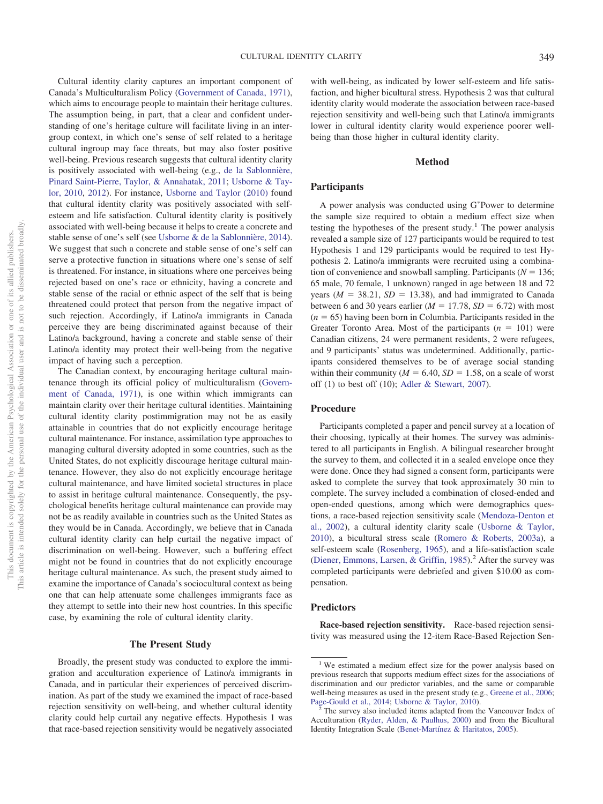Cultural identity clarity captures an important component of Canada's Multiculturalism Policy [\(Government of Canada, 1971\)](#page-7-26), which aims to encourage people to maintain their heritage cultures. The assumption being, in part, that a clear and confident understanding of one's heritage culture will facilitate living in an intergroup context, in which one's sense of self related to a heritage cultural ingroup may face threats, but may also foster positive well-being. Previous research suggests that cultural identity clarity is positively associated with well-being (e.g., [de la Sablonnière,](#page-6-9) [Pinard Saint-Pierre, Taylor, & Annahatak, 2011;](#page-6-9) [Usborne & Tay](#page-8-2)[lor, 2010,](#page-8-2) [2012\)](#page-8-4). For instance, [Usborne and Taylor \(2010\)](#page-8-2) found that cultural identity clarity was positively associated with selfesteem and life satisfaction. Cultural identity clarity is positively associated with well-being because it helps to create a concrete and stable sense of one's self (see [Usborne & de la Sablonnière, 2014\)](#page-8-3). We suggest that such a concrete and stable sense of one's self can serve a protective function in situations where one's sense of self is threatened. For instance, in situations where one perceives being rejected based on one's race or ethnicity, having a concrete and stable sense of the racial or ethnic aspect of the self that is being threatened could protect that person from the negative impact of such rejection. Accordingly, if Latino/a immigrants in Canada perceive they are being discriminated against because of their Latino/a background, having a concrete and stable sense of their Latino/a identity may protect their well-being from the negative impact of having such a perception.

The Canadian context, by encouraging heritage cultural maintenance through its official policy of multiculturalism [\(Govern](#page-7-26)[ment of Canada, 1971\)](#page-7-26), is one within which immigrants can maintain clarity over their heritage cultural identities. Maintaining cultural identity clarity postimmigration may not be as easily attainable in countries that do not explicitly encourage heritage cultural maintenance. For instance, assimilation type approaches to managing cultural diversity adopted in some countries, such as the United States, do not explicitly discourage heritage cultural maintenance. However, they also do not explicitly encourage heritage cultural maintenance, and have limited societal structures in place to assist in heritage cultural maintenance. Consequently, the psychological benefits heritage cultural maintenance can provide may not be as readily available in countries such as the United States as they would be in Canada. Accordingly, we believe that in Canada cultural identity clarity can help curtail the negative impact of discrimination on well-being. However, such a buffering effect might not be found in countries that do not explicitly encourage heritage cultural maintenance. As such, the present study aimed to examine the importance of Canada's sociocultural context as being one that can help attenuate some challenges immigrants face as they attempt to settle into their new host countries. In this specific case, by examining the role of cultural identity clarity.

## **The Present Study**

Broadly, the present study was conducted to explore the immigration and acculturation experience of Latino/a immigrants in Canada, and in particular their experiences of perceived discrimination. As part of the study we examined the impact of race-based rejection sensitivity on well-being, and whether cultural identity clarity could help curtail any negative effects. Hypothesis 1 was that race-based rejection sensitivity would be negatively associated

with well-being, as indicated by lower self-esteem and life satisfaction, and higher bicultural stress. Hypothesis 2 was that cultural identity clarity would moderate the association between race-based rejection sensitivity and well-being such that Latino/a immigrants lower in cultural identity clarity would experience poorer wellbeing than those higher in cultural identity clarity.

# **Method**

## **Participants**

A power analysis was conducted using G\*Power to determine the sample size required to obtain a medium effect size when testing the hypotheses of the present study.<sup>1</sup> The power analysis revealed a sample size of 127 participants would be required to test Hypothesis 1 and 129 participants would be required to test Hypothesis 2. Latino/a immigrants were recruited using a combination of convenience and snowball sampling. Participants ( $N = 136$ ; 65 male, 70 female, 1 unknown) ranged in age between 18 and 72 years  $(M = 38.21, SD = 13.38)$ , and had immigrated to Canada between 6 and 30 years earlier  $(M = 17.78, SD = 6.72)$  with most  $(n = 65)$  having been born in Columbia. Participants resided in the Greater Toronto Area. Most of the participants  $(n = 101)$  were Canadian citizens, 24 were permanent residents, 2 were refugees, and 9 participants' status was undetermined. Additionally, participants considered themselves to be of average social standing within their community ( $M = 6.40$ ,  $SD = 1.58$ , on a scale of worst off (1) to best off (10); [Adler & Stewart, 2007\)](#page-6-10).

## **Procedure**

Participants completed a paper and pencil survey at a location of their choosing, typically at their homes. The survey was administered to all participants in English. A bilingual researcher brought the survey to them, and collected it in a sealed envelope once they were done. Once they had signed a consent form, participants were asked to complete the survey that took approximately 30 min to complete. The survey included a combination of closed-ended and open-ended questions, among which were demographics questions, a race-based rejection sensitivity scale [\(Mendoza-Denton et](#page-7-2) [al., 2002\)](#page-7-2), a cultural identity clarity scale [\(Usborne & Taylor,](#page-8-2) [2010\)](#page-8-2), a bicultural stress scale [\(Romero & Roberts, 2003a\)](#page-7-19), a self-esteem scale [\(Rosenberg, 1965\)](#page-7-27), and a life-satisfaction scale [\(Diener, Emmons, Larsen, & Griffin, 1985\)](#page-6-11).<sup>2</sup> After the survey was completed participants were debriefed and given \$10.00 as compensation.

## **Predictors**

**Race-based rejection sensitivity.** Race-based rejection sensitivity was measured using the 12-item Race-Based Rejection Sen-

<sup>&</sup>lt;sup>1</sup> We estimated a medium effect size for the power analysis based on previous research that supports medium effect sizes for the associations of discrimination and our predictor variables, and the same or comparable well-being measures as used in the present study (e.g., [Greene et al., 2006;](#page-7-7) Page-Gould et al., 2014; Usborne & Taylor, 2010).

The survey also included items adapted from the Vancouver Index of Acculturation [\(Ryder, Alden, & Paulhus, 2000\)](#page-7-28) and from the Bicultural Identity Integration Scale [\(Benet-Martínez & Haritatos, 2005\)](#page-6-12).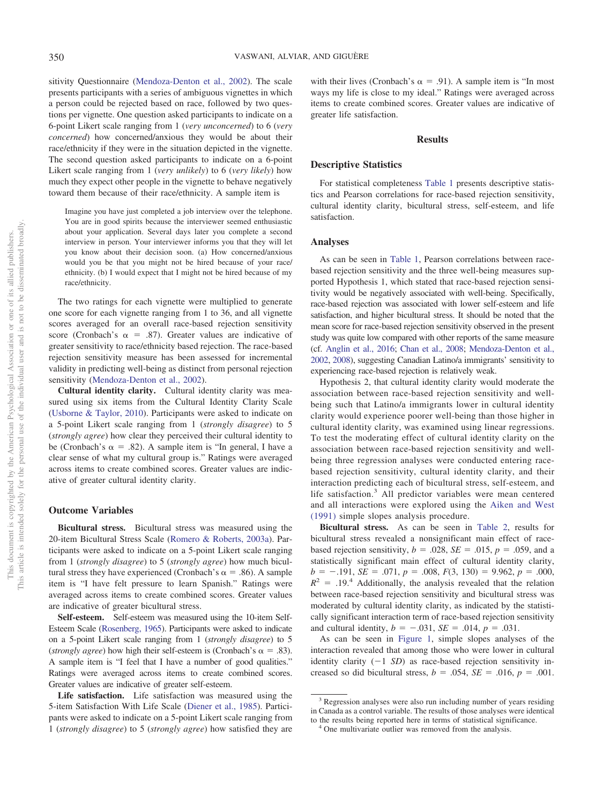sitivity Questionnaire [\(Mendoza-Denton et al., 2002\)](#page-7-2). The scale presents participants with a series of ambiguous vignettes in which a person could be rejected based on race, followed by two questions per vignette. One question asked participants to indicate on a 6-point Likert scale ranging from 1 (*very unconcerned*) to 6 (*very concerned*) how concerned/anxious they would be about their race/ethnicity if they were in the situation depicted in the vignette. The second question asked participants to indicate on a 6-point Likert scale ranging from 1 (*very unlikely*) to 6 (*very likely*) how much they expect other people in the vignette to behave negatively toward them because of their race/ethnicity. A sample item is

Imagine you have just completed a job interview over the telephone. You are in good spirits because the interviewer seemed enthusiastic about your application. Several days later you complete a second interview in person. Your interviewer informs you that they will let you know about their decision soon. (a) How concerned/anxious would you be that you might not be hired because of your race/ ethnicity. (b) I would expect that I might not be hired because of my race/ethnicity.

The two ratings for each vignette were multiplied to generate one score for each vignette ranging from 1 to 36, and all vignette scores averaged for an overall race-based rejection sensitivity score (Cronbach's  $\alpha = .87$ ). Greater values are indicative of greater sensitivity to race/ethnicity based rejection. The race-based rejection sensitivity measure has been assessed for incremental validity in predicting well-being as distinct from personal rejection sensitivity [\(Mendoza-Denton et al., 2002\)](#page-7-2).

**Cultural identity clarity.** Cultural identity clarity was measured using six items from the Cultural Identity Clarity Scale [\(Usborne & Taylor, 2010\)](#page-8-2). Participants were asked to indicate on a 5-point Likert scale ranging from 1 (*strongly disagree*) to 5 (*strongly agree*) how clear they perceived their cultural identity to be (Cronbach's  $\alpha = .82$ ). A sample item is "In general, I have a clear sense of what my cultural group is." Ratings were averaged across items to create combined scores. Greater values are indicative of greater cultural identity clarity.

## **Outcome Variables**

**Bicultural stress.** Bicultural stress was measured using the 20-item Bicultural Stress Scale [\(Romero & Roberts, 2003a\)](#page-7-19). Participants were asked to indicate on a 5-point Likert scale ranging from 1 (*strongly disagree*) to 5 (*strongly agree*) how much bicultural stress they have experienced (Cronbach's  $\alpha = .86$ ). A sample item is "I have felt pressure to learn Spanish." Ratings were averaged across items to create combined scores. Greater values are indicative of greater bicultural stress.

**Self-esteem.** Self-esteem was measured using the 10-item Self-Esteem Scale [\(Rosenberg, 1965\)](#page-7-27). Participants were asked to indicate on a 5-point Likert scale ranging from 1 (*strongly disagree*) to 5 (*strongly agree*) how high their self-esteem is (Cronbach's  $\alpha = .83$ ). A sample item is "I feel that I have a number of good qualities." Ratings were averaged across items to create combined scores. Greater values are indicative of greater self-esteem.

**Life satisfaction.** Life satisfaction was measured using the 5-item Satisfaction With Life Scale [\(Diener et al., 1985\)](#page-6-11). Participants were asked to indicate on a 5-point Likert scale ranging from 1 (*strongly disagree*) to 5 (*strongly agree*) how satisfied they are

with their lives (Cronbach's  $\alpha = .91$ ). A sample item is "In most ways my life is close to my ideal." Ratings were averaged across items to create combined scores. Greater values are indicative of greater life satisfaction.

# **Results**

#### **Descriptive Statistics**

For statistical completeness [Table 1](#page-4-0) presents descriptive statistics and Pearson correlations for race-based rejection sensitivity, cultural identity clarity, bicultural stress, self-esteem, and life satisfaction.

## **Analyses**

As can be seen in [Table 1,](#page-4-0) Pearson correlations between racebased rejection sensitivity and the three well-being measures supported Hypothesis 1, which stated that race-based rejection sensitivity would be negatively associated with well-being. Specifically, race-based rejection was associated with lower self-esteem and life satisfaction, and higher bicultural stress. It should be noted that the mean score for race-based rejection sensitivity observed in the present study was quite low compared with other reports of the same measure (cf. [Anglin et al., 2016;](#page-6-5) [Chan et al., 2008;](#page-6-6) [Mendoza-Denton et al.,](#page-7-2) [2002,](#page-7-2) [2008\)](#page-7-3), suggesting Canadian Latino/a immigrants' sensitivity to experiencing race-based rejection is relatively weak.

Hypothesis 2, that cultural identity clarity would moderate the association between race-based rejection sensitivity and wellbeing such that Latino/a immigrants lower in cultural identity clarity would experience poorer well-being than those higher in cultural identity clarity, was examined using linear regressions. To test the moderating effect of cultural identity clarity on the association between race-based rejection sensitivity and wellbeing three regression analyses were conducted entering racebased rejection sensitivity, cultural identity clarity, and their interaction predicting each of bicultural stress, self-esteem, and life satisfaction.<sup>3</sup> All predictor variables were mean centered and all interactions were explored using the [Aiken and West](#page-6-13) [\(1991\)](#page-6-13) simple slopes analysis procedure.

**Bicultural stress.** As can be seen in [Table 2,](#page-4-1) results for bicultural stress revealed a nonsignificant main effect of racebased rejection sensitivity,  $b = .028$ ,  $SE = .015$ ,  $p = .059$ , and a statistically significant main effect of cultural identity clarity,  $b = -.191$ ,  $SE = .071$ ,  $p = .008$ ,  $F(3, 130) = 9.962$ ,  $p = .000$ ,  $R^2$  = .19.<sup>4</sup> Additionally, the analysis revealed that the relation between race-based rejection sensitivity and bicultural stress was moderated by cultural identity clarity, as indicated by the statistically significant interaction term of race-based rejection sensitivity and cultural identity,  $b = -.031$ ,  $SE = .014$ ,  $p = .031$ .

As can be seen in [Figure 1,](#page-5-0) simple slopes analyses of the interaction revealed that among those who were lower in cultural identity clarity  $(-1 S D)$  as race-based rejection sensitivity increased so did bicultural stress,  $b = .054$ ,  $SE = .016$ ,  $p = .001$ .

<sup>&</sup>lt;sup>3</sup> Regression analyses were also run including number of years residing in Canada as a control variable. The results of those analyses were identical

to the results being reported here in terms of statistical significance. <sup>4</sup> One multivariate outlier was removed from the analysis.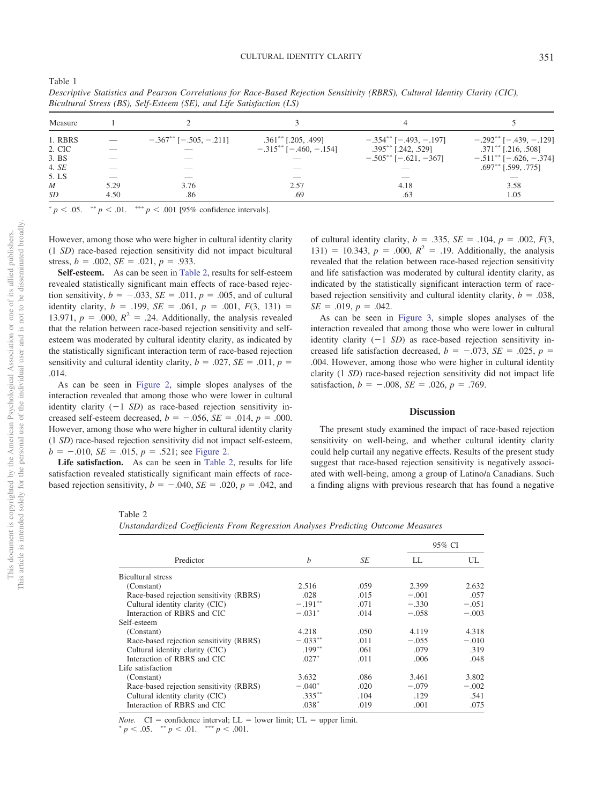| Measure     |      |                                 |                                  | 4                              |                                  |
|-------------|------|---------------------------------|----------------------------------|--------------------------------|----------------------------------|
| 1. RBRS     |      | $-.367^{**}$ [ $-.505, -.211$ ] | $.361^{**}$ [.205, .499]         | $-.354***[-.493,-.197]$        | $-.292***[-.439,-.129]$          |
| 2. CIC      |      |                                 | $-.315***$ [ $-.460$ , $-.154$ ] | .395** [.242, .529]            | $.371^{\ast\ast}$ [.216, .508]   |
| 3. BS       |      |                                 |                                  | $-.505^{**}$ [ $-.621, -367$ ] | $-.511***$ [ $-.626$ , $-.374$ ] |
| 4. SE       |      |                                 |                                  |                                | $.697^{**}$ [.599, .775]         |
| 5. LS       |      |                                 |                                  |                                |                                  |
| $M_{\odot}$ | 5.29 | 3.76                            | 2.57                             | 4.18                           | 3.58                             |
| SD          | 4.50 | .86                             | .69                              | .63                            | 1.05                             |

*Descriptive Statistics and Pearson Correlations for Race-Based Rejection Sensitivity (RBRS), Cultural Identity Clarity (CIC), Bicultural Stress (BS), Self-Esteem (SE), and Life Satisfaction (LS)*

 $p < .05$ .  $\longrightarrow^* p < .01$ .  $\longrightarrow^* p < .001$  [95% confidence intervals].

However, among those who were higher in cultural identity clarity (1 *SD*) race-based rejection sensitivity did not impact bicultural stress,  $b = .002$ ,  $SE = .021$ ,  $p = .933$ .

**Self-esteem.** As can be seen in [Table 2,](#page-4-1) results for self-esteem revealed statistically significant main effects of race-based rejection sensitivity,  $b = -.033$ ,  $SE = .011$ ,  $p = .005$ , and of cultural identity clarity,  $b = .199$ ,  $SE = .061$ ,  $p = .001$ ,  $F(3, 131) =$ 13.971,  $p = .000$ ,  $R^2 = .24$ . Additionally, the analysis revealed that the relation between race-based rejection sensitivity and selfesteem was moderated by cultural identity clarity, as indicated by the statistically significant interaction term of race-based rejection sensitivity and cultural identity clarity,  $b = .027$ ,  $SE = .011$ ,  $p =$ .014.

As can be seen in [Figure 2,](#page-5-1) simple slopes analyses of the interaction revealed that among those who were lower in cultural identity clarity  $(-1 S D)$  as race-based rejection sensitivity increased self-esteem decreased,  $b = -.056$ ,  $SE = .014$ ,  $p = .000$ . However, among those who were higher in cultural identity clarity (1 *SD*) race-based rejection sensitivity did not impact self-esteem,  $b = -0.010$ ,  $SE = 0.015$ ,  $p = 0.521$ ; see [Figure 2.](#page-5-1)

Life satisfaction. As can be seen in [Table 2,](#page-4-1) results for life satisfaction revealed statistically significant main effects of racebased rejection sensitivity,  $b = -.040$ ,  $SE = .020$ ,  $p = .042$ , and

of cultural identity clarity,  $b = .335$ ,  $SE = .104$ ,  $p = .002$ ,  $F(3)$ , 131) = 10.343,  $p = .000$ ,  $R^2 = .19$ . Additionally, the analysis revealed that the relation between race-based rejection sensitivity and life satisfaction was moderated by cultural identity clarity, as indicated by the statistically significant interaction term of racebased rejection sensitivity and cultural identity clarity,  $b = .038$ ,  $SE = .019, p = .042.$ 

As can be seen in [Figure 3,](#page-5-2) simple slopes analyses of the interaction revealed that among those who were lower in cultural identity clarity  $(-1 S D)$  as race-based rejection sensitivity increased life satisfaction decreased,  $b = -.073$ ,  $SE = .025$ ,  $p =$ .004. However, among those who were higher in cultural identity clarity (1 *SD*) race-based rejection sensitivity did not impact life satisfaction,  $b = -.008$ ,  $SE = .026$ ,  $p = .769$ .

## **Discussion**

The present study examined the impact of race-based rejection sensitivity on well-being, and whether cultural identity clarity could help curtail any negative effects. Results of the present study suggest that race-based rejection sensitivity is negatively associated with well-being, among a group of Latino/a Canadians. Such a finding aligns with previous research that has found a negative

This document is copyrighted by the American Psychological Association or one of its allied publishers.

This document is copyrighted by the American Psychological Association

 $\rm \tilde{o}$ 

not to be disseminated broadly. one of its allied publishers.

<span id="page-4-0"></span>Table 1

#### <span id="page-4-1"></span>Table 2

*Unstandardized Coefficients From Regression Analyses Predicting Outcome Measures*

|                                         | $\boldsymbol{b}$ | SE   | 95% CI  |         |
|-----------------------------------------|------------------|------|---------|---------|
| Predictor                               |                  |      | LL.     | UL.     |
| Bicultural stress                       |                  |      |         |         |
| (Constant)                              | 2.516            | .059 | 2.399   | 2.632   |
| Race-based rejection sensitivity (RBRS) | .028             | .015 | $-.001$ | .057    |
| Cultural identity clarity (CIC)         | $-.191***$       | .071 | $-.330$ | $-.051$ |
| Interaction of RBRS and CIC             | $-.031*$         | .014 | $-.058$ | $-.003$ |
| Self-esteem                             |                  |      |         |         |
| (Constant)                              | 4.218            | .050 | 4.119   | 4.318   |
| Race-based rejection sensitivity (RBRS) | $-.033**$        | .011 | $-.055$ | $-.010$ |
| Cultural identity clarity (CIC)         | $.199***$        | .061 | .079    | .319    |
| Interaction of RBRS and CIC             | $.027*$          | .011 | .006    | .048    |
| Life satisfaction                       |                  |      |         |         |
| (Constant)                              | 3.632            | .086 | 3.461   | 3.802   |
| Race-based rejection sensitivity (RBRS) | $-.040*$         | .020 | $-.079$ | $-.002$ |
| Cultural identity clarity (CIC)         | $.335***$        | .104 | .129    | .541    |
| Interaction of RBRS and CIC             | $.038*$          | .019 | .001    | .075    |

*Note.* CI = confidence interval; LL = lower limit; UL = upper limit.

 $p < .05.$  \*\*  $p < .01.$  \*\*\*  $p < .001.$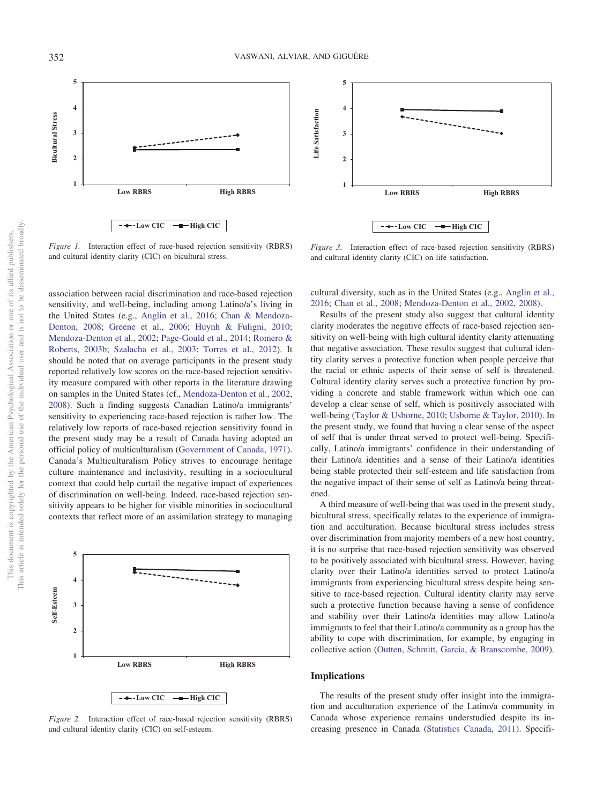



<span id="page-5-0"></span>*Figure 1.* Interaction effect of race-based rejection sensitivity (RBRS) and cultural identity clarity (CIC) on bicultural stress.

association between racial discrimination and race-based rejection sensitivity, and well-being, including among Latino/a's living in the United States (e.g., [Anglin et al., 2016;](#page-6-5) [Chan & Mendoza-](#page-6-6)[Denton, 2008;](#page-6-6) [Greene et al., 2006;](#page-7-7) [Huynh & Fuligni, 2010;](#page-7-8) [Mendoza-Denton et al., 2002;](#page-7-2) [Page-Gould et al., 2014;](#page-7-13) [Romero &](#page-7-14) [Roberts, 2003b;](#page-7-14) [Szalacha et al., 2003;](#page-7-9) [Torres et al., 2012\)](#page-8-1). It should be noted that on average participants in the present study reported relatively low scores on the race-based rejection sensitivity measure compared with other reports in the literature drawing on samples in the United States (cf., [Mendoza-Denton et al., 2002,](#page-7-2) [2008\)](#page-7-3). Such a finding suggests Canadian Latino/a immigrants' sensitivity to experiencing race-based rejection is rather low. The relatively low reports of race-based rejection sensitivity found in the present study may be a result of Canada having adopted an official policy of multiculturalism [\(Government of Canada, 1971\)](#page-7-26). Canada's Multiculturalism Policy strives to encourage heritage culture maintenance and inclusivity, resulting in a sociocultural context that could help curtail the negative impact of experiences of discrimination on well-being. Indeed, race-based rejection sensitivity appears to be higher for visible minorities in sociocultural contexts that reflect more of an assimilation strategy to managing



<span id="page-5-1"></span>*Figure 2.* Interaction effect of race-based rejection sensitivity (RBRS) and cultural identity clarity (CIC) on self-esteem.

<span id="page-5-2"></span>*Figure 3.* Interaction effect of race-based rejection sensitivity (RBRS) and cultural identity clarity (CIC) on life satisfaction.

cultural diversity, such as in the United States (e.g., [Anglin et al.,](#page-6-5) [2016;](#page-6-5) [Chan et al., 2008;](#page-6-6) [Mendoza-Denton et al., 2002,](#page-7-2) [2008\)](#page-7-3).

Results of the present study also suggest that cultural identity clarity moderates the negative effects of race-based rejection sensitivity on well-being with high cultural identity clarity attenuating that negative association. These results suggest that cultural identity clarity serves a protective function when people perceive that the racial or ethnic aspects of their sense of self is threatened. Cultural identity clarity serves such a protective function by providing a concrete and stable framework within which one can develop a clear sense of self, which is positively associated with well-being [\(Taylor & Usborne, 2010;](#page-7-24) [Usborne & Taylor, 2010\)](#page-8-2). In the present study, we found that having a clear sense of the aspect of self that is under threat served to protect well-being. Specifically, Latino/a immigrants' confidence in their understanding of their Latino/a identities and a sense of their Latino/a identities being stable protected their self-esteem and life satisfaction from the negative impact of their sense of self as Latino/a being threatened.

A third measure of well-being that was used in the present study, bicultural stress, specifically relates to the experience of immigration and acculturation. Because bicultural stress includes stress over discrimination from majority members of a new host country, it is no surprise that race-based rejection sensitivity was observed to be positively associated with bicultural stress. However, having clarity over their Latino/a identities served to protect Latino/a immigrants from experiencing bicultural stress despite being sensitive to race-based rejection. Cultural identity clarity may serve such a protective function because having a sense of confidence and stability over their Latino/a identities may allow Latino/a immigrants to feel that their Latino/a community as a group has the ability to cope with discrimination, for example, by engaging in collective action [\(Outten, Schmitt, Garcia, & Branscombe, 2009\)](#page-7-29).

## **Implications**

The results of the present study offer insight into the immigration and acculturation experience of the Latino/a community in Canada whose experience remains understudied despite its increasing presence in Canada [\(Statistics Canada, 2011\)](#page-7-4). Specifi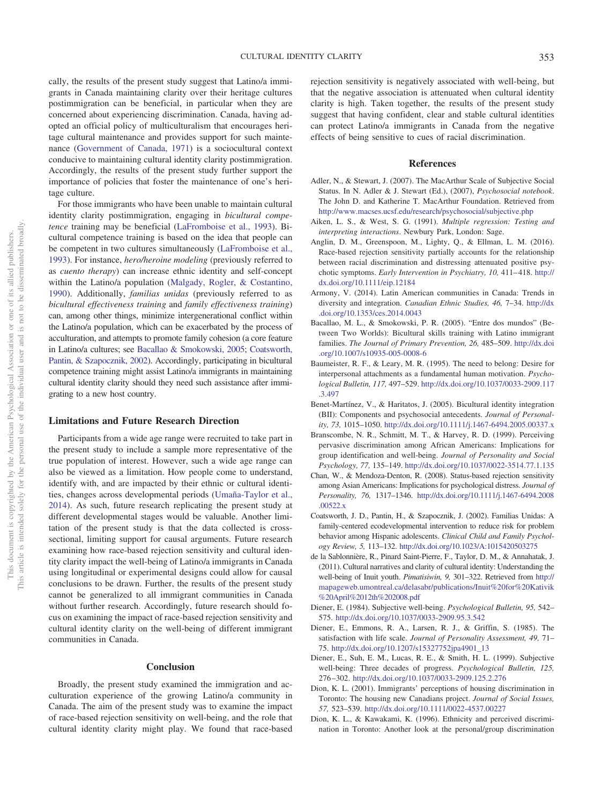cally, the results of the present study suggest that Latino/a immigrants in Canada maintaining clarity over their heritage cultures postimmigration can be beneficial, in particular when they are concerned about experiencing discrimination. Canada, having adopted an official policy of multiculturalism that encourages heritage cultural maintenance and provides support for such maintenance [\(Government of Canada, 1971\)](#page-7-26) is a sociocultural context conducive to maintaining cultural identity clarity postimmigration. Accordingly, the results of the present study further support the importance of policies that foster the maintenance of one's heritage culture.

For those immigrants who have been unable to maintain cultural identity clarity postimmigration, engaging in *bicultural competence* training may be beneficial [\(LaFromboise et al., 1993\)](#page-7-15). Bicultural competence training is based on the idea that people can be competent in two cultures simultaneously [\(LaFromboise et al.,](#page-7-15) [1993\)](#page-7-15). For instance, *hero/heroine modeling* (previously referred to as *cuento therapy*) can increase ethnic identity and self-concept within the Latino/a population [\(Malgady, Rogler, & Costantino,](#page-7-30) [1990\)](#page-7-30). Additionally, *familias unidas* (previously referred to as *bicultural effectiveness training* and *family effectiveness training*) can, among other things, minimize intergenerational conflict within the Latino/a population, which can be exacerbated by the process of acculturation, and attempts to promote family cohesion (a core feature in Latino/a cultures; see [Bacallao & Smokowski, 2005;](#page-6-14) [Coatsworth,](#page-6-15) [Pantin, & Szapocznik, 2002\)](#page-6-15). Accordingly, participating in bicultural competence training might assist Latino/a immigrants in maintaining cultural identity clarity should they need such assistance after immigrating to a new host country.

## **Limitations and Future Research Direction**

Participants from a wide age range were recruited to take part in the present study to include a sample more representative of the true population of interest. However, such a wide age range can also be viewed as a limitation. How people come to understand, identify with, and are impacted by their ethnic or cultural identities, changes across developmental periods [\(Umaña-Taylor et al.,](#page-8-5) [2014\)](#page-8-5). As such, future research replicating the present study at different developmental stages would be valuable. Another limitation of the present study is that the data collected is crosssectional, limiting support for causal arguments. Future research examining how race-based rejection sensitivity and cultural identity clarity impact the well-being of Latino/a immigrants in Canada using longitudinal or experimental designs could allow for causal conclusions to be drawn. Further, the results of the present study cannot be generalized to all immigrant communities in Canada without further research. Accordingly, future research should focus on examining the impact of race-based rejection sensitivity and cultural identity clarity on the well-being of different immigrant communities in Canada.

#### **Conclusion**

Broadly, the present study examined the immigration and acculturation experience of the growing Latino/a community in Canada. The aim of the present study was to examine the impact of race-based rejection sensitivity on well-being, and the role that cultural identity clarity might play. We found that race-based rejection sensitivity is negatively associated with well-being, but that the negative association is attenuated when cultural identity clarity is high. Taken together, the results of the present study suggest that having confident, clear and stable cultural identities can protect Latino/a immigrants in Canada from the negative effects of being sensitive to cues of racial discrimination.

## **References**

- <span id="page-6-10"></span>Adler, N., & Stewart, J. (2007). The MacArthur Scale of Subjective Social Status. In N. Adler & J. Stewart (Ed.), (2007), *Psychosocial notebook*. The John D. and Katherine T. MacArthur Foundation. Retrieved from <http://www.macses.ucsf.edu/research/psychosocial/subjective.php>
- <span id="page-6-13"></span>Aiken, L. S., & West, S. G. (1991). *Multiple regression: Testing and interpreting interactions*. Newbury Park, London: Sage.
- <span id="page-6-5"></span>Anglin, D. M., Greenspoon, M., Lighty, Q., & Ellman, L. M. (2016). Race-based rejection sensitivity partially accounts for the relationship between racial discrimination and distressing attenuated positive psychotic symptoms. *Early Intervention in Psychiatry, 10,* 411-418. [http://](http://dx.doi.org/10.1111/eip.12184) [dx.doi.org/10.1111/eip.12184](http://dx.doi.org/10.1111/eip.12184)
- <span id="page-6-4"></span>Armony, V. (2014). Latin American communities in Canada: Trends in diversity and integration. *Canadian Ethnic Studies, 46,* 7–34. [http://dx](http://dx.doi.org/10.1353/ces.2014.0043) [.doi.org/10.1353/ces.2014.0043](http://dx.doi.org/10.1353/ces.2014.0043)
- <span id="page-6-14"></span>Bacallao, M. L., & Smokowski, P. R. (2005). "Entre dos mundos" (Between Two Worlds): Bicultural skills training with Latino immigrant families. *The Journal of Primary Prevention, 26,* 485–509. [http://dx.doi](http://dx.doi.org/10.1007/s10935-005-0008-6) [.org/10.1007/s10935-005-0008-6](http://dx.doi.org/10.1007/s10935-005-0008-6)
- <span id="page-6-0"></span>Baumeister, R. F., & Leary, M. R. (1995). The need to belong: Desire for interpersonal attachments as a fundamental human motivation. *Psychological Bulletin, 117,* 497–529. [http://dx.doi.org/10.1037/0033-2909.117](http://dx.doi.org/10.1037/0033-2909.117.3.497) [.3.497](http://dx.doi.org/10.1037/0033-2909.117.3.497)
- <span id="page-6-12"></span>Benet-Martínez, V., & Haritatos, J. (2005). Bicultural identity integration (BII): Components and psychosocial antecedents. *Journal of Personality, 73,* 1015–1050. <http://dx.doi.org/10.1111/j.1467-6494.2005.00337.x>
- <span id="page-6-3"></span>Branscombe, N. R., Schmitt, M. T., & Harvey, R. D. (1999). Perceiving pervasive discrimination among African Americans: Implications for group identification and well-being. *Journal of Personality and Social Psychology, 77,* 135–149. <http://dx.doi.org/10.1037/0022-3514.77.1.135>
- <span id="page-6-6"></span>Chan, W., & Mendoza-Denton, R. (2008). Status-based rejection sensitivity among Asian Americans: Implications for psychological distress. *Journal of Personality, 76,* 1317–1346. [http://dx.doi.org/10.1111/j.1467-6494.2008](http://dx.doi.org/10.1111/j.1467-6494.2008.00522.x) [.00522.x](http://dx.doi.org/10.1111/j.1467-6494.2008.00522.x)
- <span id="page-6-15"></span>Coatsworth, J. D., Pantin, H., & Szapocznik, J. (2002). Familias Unidas: A family-centered ecodevelopmental intervention to reduce risk for problem behavior among Hispanic adolescents. *Clinical Child and Family Psychology Review, 5,* 113–132. <http://dx.doi.org/10.1023/A:1015420503275>
- <span id="page-6-9"></span>de la Sablonnière, R., Pinard Saint-Pierre, F., Taylor, D. M., & Annahatak, J. (2011). Cultural narratives and clarity of cultural identity: Understanding the well-being of Inuit youth. *Pimatisiwin, 9,* 301–322. Retrieved from [http://](http://mapageweb.umontreal.ca/delasabr/publications/Inuit%20for%20Kativik%20April%2012th%202008.pdf) [mapageweb.umontreal.ca/delasabr/publications/Inuit%20for%20Kativik](http://mapageweb.umontreal.ca/delasabr/publications/Inuit%20for%20Kativik%20April%2012th%202008.pdf) [%20April%2012th%202008.pdf](http://mapageweb.umontreal.ca/delasabr/publications/Inuit%20for%20Kativik%20April%2012th%202008.pdf)
- <span id="page-6-7"></span>Diener, E. (1984). Subjective well-being. *Psychological Bulletin, 95,* 542– 575. <http://dx.doi.org/10.1037/0033-2909.95.3.542>
- <span id="page-6-11"></span>Diener, E., Emmons, R. A., Larsen, R. J., & Griffin, S. (1985). The satisfaction with life scale. *Journal of Personality Assessment, 49,* 71– 75. [http://dx.doi.org/10.1207/s15327752jpa4901\\_13](http://dx.doi.org/10.1207/s15327752jpa4901_13)
- <span id="page-6-8"></span>Diener, E., Suh, E. M., Lucas, R. E., & Smith, H. L. (1999). Subjective well-being: Three decades of progress. *Psychological Bulletin, 125,* 276 –302. <http://dx.doi.org/10.1037/0033-2909.125.2.276>
- <span id="page-6-1"></span>Dion, K. L. (2001). Immigrants' perceptions of housing discrimination in Toronto: The housing new Canadians project. *Journal of Social Issues, 57,* 523–539. <http://dx.doi.org/10.1111/0022-4537.00227>
- <span id="page-6-2"></span>Dion, K. L., & Kawakami, K. (1996). Ethnicity and perceived discrimination in Toronto: Another look at the personal/group discrimination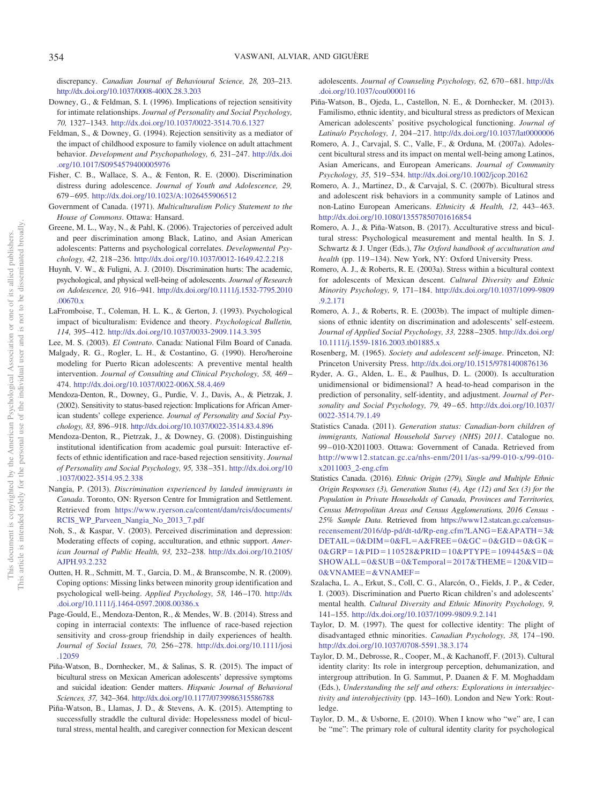discrepancy. *Canadian Journal of Behavioural Science, 28,* 203–213. <http://dx.doi.org/10.1037/0008-400X.28.3.203>

- <span id="page-7-10"></span>Downey, G., & Feldman, S. I. (1996). Implications of rejection sensitivity for intimate relationships. *Journal of Personality and Social Psychology, 70,* 1327–1343. <http://dx.doi.org/10.1037/0022-3514.70.6.1327>
- <span id="page-7-11"></span>Feldman, S., & Downey, G. (1994). Rejection sensitivity as a mediator of the impact of childhood exposure to family violence on adult attachment behavior. *Development and Psychopathology, 6,* 231–247. [http://dx.doi](http://dx.doi.org/10.1017/S0954579400005976) [.org/10.1017/S0954579400005976](http://dx.doi.org/10.1017/S0954579400005976)
- <span id="page-7-6"></span>Fisher, C. B., Wallace, S. A., & Fenton, R. E. (2000). Discrimination distress during adolescence. *Journal of Youth and Adolescence, 29,* 679 – 695. <http://dx.doi.org/10.1023/A:1026455906512>
- <span id="page-7-26"></span>Government of Canada. (1971). *Multiculturalism Policy Statement to the House of Commons*. Ottawa: Hansard.
- <span id="page-7-7"></span>Greene, M. L., Way, N., & Pahl, K. (2006). Trajectories of perceived adult and peer discrimination among Black, Latino, and Asian American adolescents: Patterns and psychological correlates. *Developmental Psychology, 42,* 218 –236. <http://dx.doi.org/10.1037/0012-1649.42.2.218>
- <span id="page-7-8"></span>Huynh, V. W., & Fuligni, A. J. (2010). Discrimination hurts: The academic, psychological, and physical well-being of adolescents. *Journal of Research on Adolescence, 20,* 916 –941. [http://dx.doi.org/10.1111/j.1532-7795.2010](http://dx.doi.org/10.1111/j.1532-7795.2010.00670.x) [.00670.x](http://dx.doi.org/10.1111/j.1532-7795.2010.00670.x)
- <span id="page-7-15"></span>LaFromboise, T., Coleman, H. L. K., & Gerton, J. (1993). Psychological impact of biculturalism: Evidence and theory. *Psychological Bulletin, 114,* 395– 412. <http://dx.doi.org/10.1037/0033-2909.114.3.395>
- <span id="page-7-12"></span>Lee, M. S. (2003). *El Contrato*. Canada: National Film Board of Canada.
- <span id="page-7-30"></span>Malgady, R. G., Rogler, L. H., & Costantino, G. (1990). Hero/heroine modeling for Puerto Rican adolescents: A preventive mental health intervention. *Journal of Consulting and Clinical Psychology, 58,* 469 – 474. <http://dx.doi.org/10.1037/0022-006X.58.4.469>
- <span id="page-7-2"></span>Mendoza-Denton, R., Downey, G., Purdie, V. J., Davis, A., & Pietrzak, J. (2002). Sensitivity to status-based rejection: Implications for African American students' college experience. *Journal of Personality and Social Psychology, 83,* 896 –918. <http://dx.doi.org/10.1037/0022-3514.83.4.896>
- <span id="page-7-3"></span>Mendoza-Denton, R., Pietrzak, J., & Downey, G. (2008). Distinguishing institutional identification from academic goal pursuit: Interactive effects of ethnic identification and race-based rejection sensitivity. *Journal of Personality and Social Psychology, 95,* 338 –351. [http://dx.doi.org/10](http://dx.doi.org/10.1037/0022-3514.95.2.338) [.1037/0022-3514.95.2.338](http://dx.doi.org/10.1037/0022-3514.95.2.338)
- <span id="page-7-0"></span>Nangia, P. (2013). *Discrimination experienced by landed immigrants in Canada*. Toronto, ON: Ryerson Centre for Immigration and Settlement. Retrieved from [https://www.ryerson.ca/content/dam/rcis/documents/](https://www.ryerson.ca/content/dam/rcis/documents/RCIS_WP_Parveen_Nangia_No_2013_7.pdf) [RCIS\\_WP\\_Parveen\\_Nangia\\_No\\_2013\\_7.pdf](https://www.ryerson.ca/content/dam/rcis/documents/RCIS_WP_Parveen_Nangia_No_2013_7.pdf)
- <span id="page-7-1"></span>Noh, S., & Kaspar, V. (2003). Perceived discrimination and depression: Moderating effects of coping, acculturation, and ethnic support. *American Journal of Public Health, 93,* 232–238. [http://dx.doi.org/10.2105/](http://dx.doi.org/10.2105/AJPH.93.2.232) [AJPH.93.2.232](http://dx.doi.org/10.2105/AJPH.93.2.232)
- <span id="page-7-29"></span>Outten, H. R., Schmitt, M. T., Garcia, D. M., & Branscombe, N. R. (2009). Coping options: Missing links between minority group identification and psychological well-being. *Applied Psychology, 58,* 146 –170. [http://dx](http://dx.doi.org/10.1111/j.1464-0597.2008.00386.x) [.doi.org/10.1111/j.1464-0597.2008.00386.x](http://dx.doi.org/10.1111/j.1464-0597.2008.00386.x)
- <span id="page-7-13"></span>Page-Gould, E., Mendoza-Denton, R., & Mendes, W. B. (2014). Stress and coping in interracial contexts: The influence of race-based rejection sensitivity and cross-group friendship in daily experiences of health. *Journal of Social Issues, 70,* 256 –278. [http://dx.doi.org/10.1111/josi](http://dx.doi.org/10.1111/josi.12059) [.12059](http://dx.doi.org/10.1111/josi.12059)
- <span id="page-7-20"></span>Piña-Watson, B., Dornhecker, M., & Salinas, S. R. (2015). The impact of bicultural stress on Mexican American adolescents' depressive symptoms and suicidal ideation: Gender matters. *Hispanic Journal of Behavioral Sciences, 37,* 342–364. <http://dx.doi.org/10.1177/0739986315586788>
- <span id="page-7-21"></span>Piña-Watson, B., Llamas, J. D., & Stevens, A. K. (2015). Attempting to successfully straddle the cultural divide: Hopelessness model of bicultural stress, mental health, and caregiver connection for Mexican descent

adolescents. *Journal of Counseling Psychology, 62,* 670 – 681. [http://dx](http://dx.doi.org/10.1037/cou0000116) [.doi.org/10.1037/cou0000116](http://dx.doi.org/10.1037/cou0000116)

- <span id="page-7-22"></span>Piña-Watson, B., Ojeda, L., Castellon, N. E., & Dornhecker, M. (2013). Familismo, ethnic identity, and bicultural stress as predictors of Mexican American adolescents' positive psychological functioning. *Journal of Latina/o Psychology, 1,* 204 –217. <http://dx.doi.org/10.1037/lat0000006>
- <span id="page-7-16"></span>Romero, A. J., Carvajal, S. C., Valle, F., & Orduna, M. (2007a). Adolescent bicultural stress and its impact on mental well-being among Latinos, Asian Americans, and European Americans. *Journal of Community Psychology, 35,* 519 –534. <http://dx.doi.org/10.1002/jcop.20162>
- <span id="page-7-17"></span>Romero, A. J., Martinez, D., & Carvajal, S. C. (2007b). Bicultural stress and adolescent risk behaviors in a community sample of Latinos and non-Latino European Americans. *Ethnicity & Health*, 12, 443-463. <http://dx.doi.org/10.1080/13557850701616854>
- <span id="page-7-18"></span>Romero, A. J., & Piña-Watson, B. (2017). Acculturative stress and bicultural stress: Psychological measurement and mental health. In S. J. Schwartz & J. Unger (Eds.), *The Oxford handbook of acculturation and health* (pp. 119 –134). New York, NY: Oxford University Press.
- <span id="page-7-19"></span>Romero, A. J., & Roberts, R. E. (2003a). Stress within a bicultural context for adolescents of Mexican descent. *Cultural Diversity and Ethnic Minority Psychology, 9,* 171–184. [http://dx.doi.org/10.1037/1099-9809](http://dx.doi.org/10.1037/1099-9809.9.2.171) [.9.2.171](http://dx.doi.org/10.1037/1099-9809.9.2.171)
- <span id="page-7-14"></span>Romero, A. J., & Roberts, R. E. (2003b). The impact of multiple dimensions of ethnic identity on discrimination and adolescents' self-esteem. *Journal of Applied Social Psychology, 33,* 2288 –2305. [http://dx.doi.org/](http://dx.doi.org/10.1111/j.1559-1816.2003.tb01885.x) [10.1111/j.1559-1816.2003.tb01885.x](http://dx.doi.org/10.1111/j.1559-1816.2003.tb01885.x)
- <span id="page-7-27"></span>Rosenberg, M. (1965). *Society and adolescent self-image*. Princeton, NJ: Princeton University Press. <http://dx.doi.org/10.1515/9781400876136>
- <span id="page-7-28"></span>Ryder, A. G., Alden, L. E., & Paulhus, D. L. (2000). Is acculturation unidimensional or bidimensional? A head-to-head comparison in the prediction of personality, self-identity, and adjustment. *Journal of Personality and Social Psychology, 79,* 49 – 65. [http://dx.doi.org/10.1037/](http://dx.doi.org/10.1037/0022-3514.79.1.49) [0022-3514.79.1.49](http://dx.doi.org/10.1037/0022-3514.79.1.49)
- <span id="page-7-4"></span>Statistics Canada. (2011). *Generation status: Canadian-born children of immigrants, National Household Survey (NHS) 2011*. Catalogue no. 99 – 010-X2011003. Ottawa: Government of Canada. Retrieved from [http://www12.statcan.gc.ca/nhs-enm/2011/as-sa/99-010-x/99-010](http://www12.statcan.gc.ca/nhs-enm/2011/as-sa/99-010-x/99-010-x2011003_2-eng.cfm) [x2011003\\_2-eng.cfm](http://www12.statcan.gc.ca/nhs-enm/2011/as-sa/99-010-x/99-010-x2011003_2-eng.cfm)
- <span id="page-7-5"></span>Statistics Canada. (2016). *Ethnic Origin (279), Single and Multiple Ethnic Origin Responses (3), Generation Status (4), Age (12) and Sex (3) for the Population in Private Households of Canada, Provinces and Territories, Census Metropolitan Areas and Census Agglomerations, 2016 Census - 25% Sample Data*. Retrieved from [https://www12.statcan.gc.ca/census](https://www12.statcan.gc.ca/census-recensement/2016/dp-pd/dt-td/Rp-eng.cfm?LANG=E&APATH=3&DETAIL=0&DIM=0&FL=A&FREE=0&GC=0&GID=0&GK=0&GRP=1&PID=110528&PRID=10&PTYPE=109445&S=0&SHOWALL=0&SUB=0&Temporal=2017&THEME=120&VID=0&VNAMEE=&VNAMEF=)[recensement/2016/dp-pd/dt-td/Rp-eng.cfm?LANG](https://www12.statcan.gc.ca/census-recensement/2016/dp-pd/dt-td/Rp-eng.cfm?LANG=E&APATH=3&DETAIL=0&DIM=0&FL=A&FREE=0&GC=0&GID=0&GK=0&GRP=1&PID=110528&PRID=10&PTYPE=109445&S=0&SHOWALL=0&SUB=0&Temporal=2017&THEME=120&VID=0&VNAMEE=&VNAMEF=)=E&APATH=3&  $DETAIL = 0\&DIM = 0\&FL = A\&FREE = 0\&GC = 0\&GID = 0\&GK =$ 0&GRP=1&PID=[110528&PRID](https://www12.statcan.gc.ca/census-recensement/2016/dp-pd/dt-td/Rp-eng.cfm?LANG=E&APATH=3&DETAIL=0&DIM=0&FL=A&FREE=0&GC=0&GID=0&GK=0&GRP=1&PID=110528&PRID=10&PTYPE=109445&S=0&SHOWALL=0&SUB=0&Temporal=2017&THEME=120&VID=0&VNAMEE=&VNAMEF=)=10&PTYPE=109445&S=0&  $SHOWALL = 0 & SUB = 0 & Temporal = 2017 & THEME = 120 & VID =$ [0&VNAMEE](https://www12.statcan.gc.ca/census-recensement/2016/dp-pd/dt-td/Rp-eng.cfm?LANG=E&APATH=3&DETAIL=0&DIM=0&FL=A&FREE=0&GC=0&GID=0&GK=0&GRP=1&PID=110528&PRID=10&PTYPE=109445&S=0&SHOWALL=0&SUB=0&Temporal=2017&THEME=120&VID=0&VNAMEE=&VNAMEF=)-&VNAMEF-
- <span id="page-7-9"></span>Szalacha, L. A., Erkut, S., Coll, C. G., Alarcón, O., Fields, J. P., & Ceder, I. (2003). Discrimination and Puerto Rican children's and adolescents' mental health. *Cultural Diversity and Ethnic Minority Psychology, 9,* 141–155. <http://dx.doi.org/10.1037/1099-9809.9.2.141>
- <span id="page-7-23"></span>Taylor, D. M. (1997). The quest for collective identity: The plight of disadvantaged ethnic minorities. *Canadian Psychology, 38,* 174 –190. <http://dx.doi.org/10.1037/0708-5591.38.3.174>
- <span id="page-7-25"></span>Taylor, D. M., Debrosse, R., Cooper, M., & Kachanoff, F. (2013). Cultural identity clarity: Its role in intergroup perception, dehumanization, and intergroup attribution. In G. Sammut, P. Daanen & F. M. Moghaddam (Eds.), *Understanding the self and others: Explorations in intersubjectivity and interobjectivity* (pp. 143–160). London and New York: Routledge.
- <span id="page-7-24"></span>Taylor, D. M., & Usborne, E. (2010). When I know who "we" are, I can be "me": The primary role of cultural identity clarity for psychological